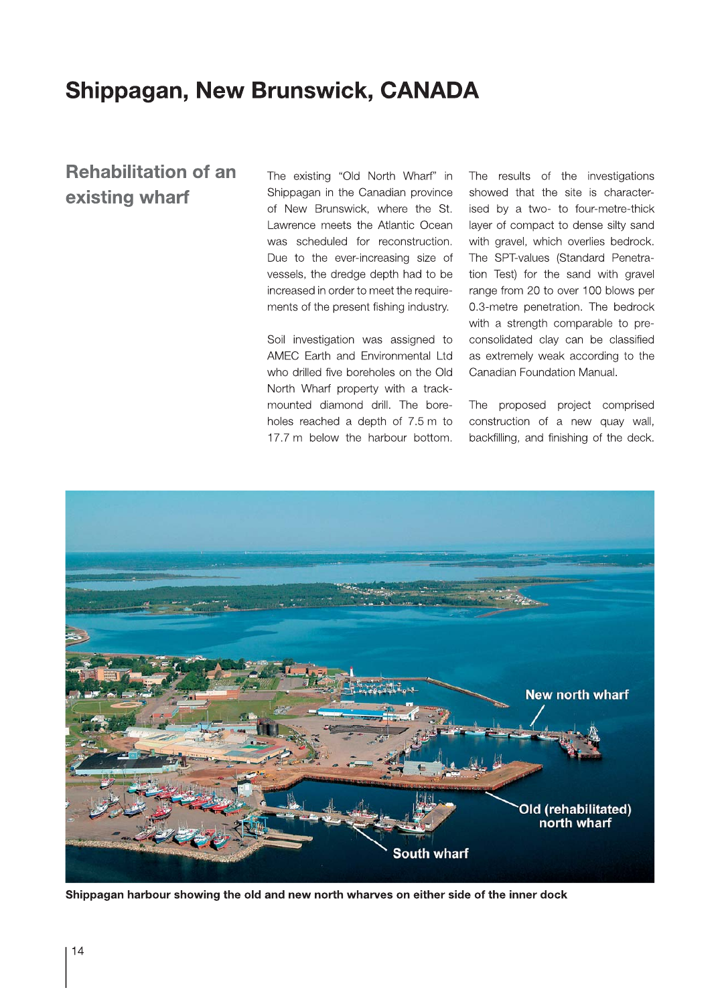## **Shippagan, New Brunswick, CANADA**

## **Rehabilitation of an** existing wharf

The existing "Old North Wharf" in Shippagan in the Canadian province of New Brunswick, where the St. Lawrence meets the Atlantic Ocean was scheduled for reconstruction. Due to the ever-increasing size of vessels, the dredge depth had to be increased in order to meet the requirements of the present fishing industry.

Soil investigation was assigned to AMEC Earth and Environmental Ltd who drilled five boreholes on the Old North Wharf property with a trackmounted diamond drill. The boreholes reached a depth of 7.5 m to 17.7 m below the harbour bottom.

The results of the investigations showed that the site is characterised by a two- to four-metre-thick layer of compact to dense silty sand with gravel, which overlies bedrock. The SPT-values (Standard Penetration Test) for the sand with gravel range from 20 to over 100 blows per 0.3-metre penetration. The bedrock with a strength comparable to preconsolidated clay can be classified as extremely weak according to the Canadian Foundation Manual.

The proposed project comprised construction of a new quay wall, backfilling, and finishing of the deck.



Shippagan harbour showing the old and new north wharves on either side of the inner dock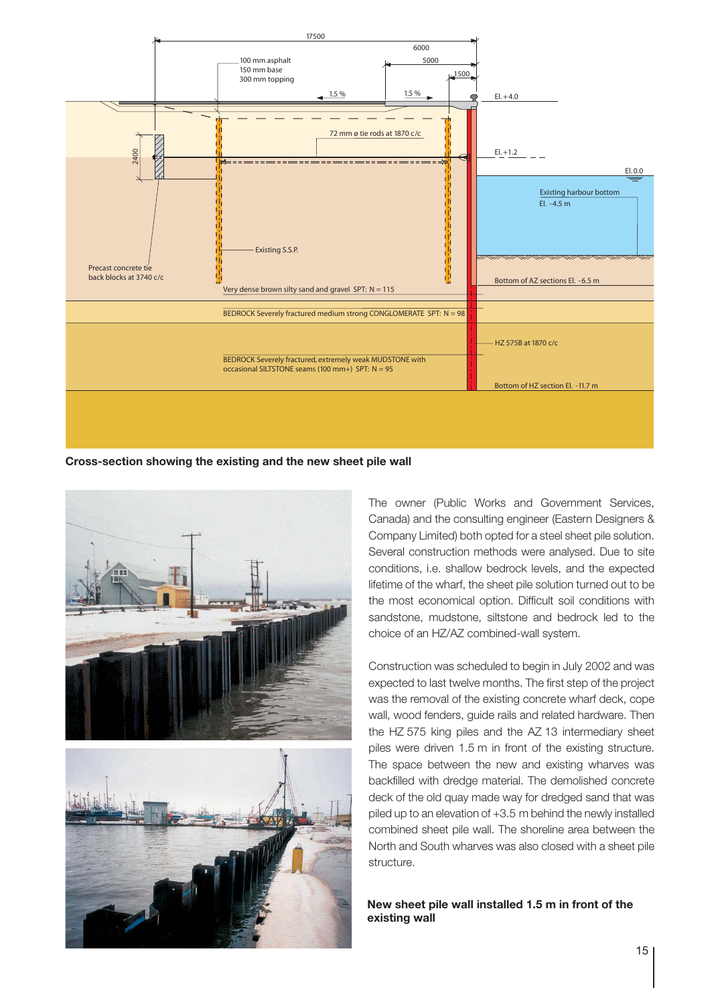

**Cross-section showing the existing and the new sheet pile wall**



The owner (Public Works and Government Services, Canada) and the consulting engineer (Eastern Designers & Company Limited) both opted for a steel sheet pile solution. Several construction methods were analysed. Due to site conditions, i.e. shallow bedrock levels, and the expected lifetime of the wharf, the sheet pile solution turned out to be the most economical option. Difficult soil conditions with sandstone, mudstone, siltstone and bedrock led to the choice of an HZ/AZ combined-wall system.

Construction was scheduled to begin in July 2002 and was expected to last twelve months. The first step of the project was the removal of the existing concrete wharf deck, cope wall, wood fenders, guide rails and related hardware. Then the HZ 575 king piles and the AZ 13 intermediary sheet piles were driven 1.5 m in front of the existing structure. The space between the new and existing wharves was backfilled with dredge material. The demolished concrete deck of the old quay made way for dredged sand that was piled up to an elevation of +3.5 m behind the newly installed combined sheet pile wall. The shoreline area between the North and South wharves was also closed with a sheet pile structure.

**New sheet pile wall installed 1.5 m in front of the existing wall**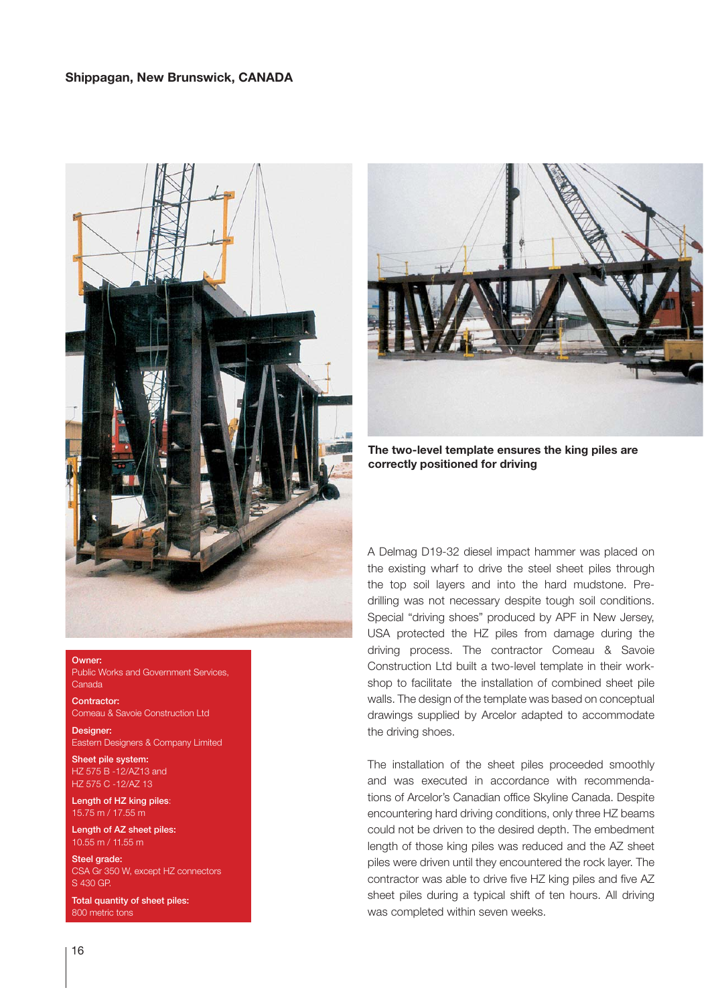

Owner: Public Works and Government Services, Canada

**Contractor:** Comeau & Savoie Construction Ltd

Designer: Eastern Designers & Company Limited

Sheet pile system: HZ 575 B -12/AZ13 and HZ 575 C -12/AZ 13

Length of HZ king piles: 15.75 m / 17.55 m

Length of AZ sheet piles: 10.55 m / 11.55 m

Steel grade: CSA Gr 350 W, except HZ connectors S 430 GP.

Total quantity of sheet piles: 800 metric tons



**The two-level template ensures the king piles are correctly positioned for driving**

A Delmag D19-32 diesel impact hammer was placed on the existing wharf to drive the steel sheet piles through the top soil layers and into the hard mudstone. Predrilling was not necessary despite tough soil conditions. Special "driving shoes" produced by APF in New Jersey, USA protected the HZ piles from damage during the driving process. The contractor Comeau & Savoie Construction Ltd built a two-level template in their workshop to facilitate the installation of combined sheet pile walls. The design of the template was based on conceptual drawings supplied by Arcelor adapted to accommodate the driving shoes.

The installation of the sheet piles proceeded smoothly and was executed in accordance with recommendations of Arcelor's Canadian office Skyline Canada. Despite encountering hard driving conditions, only three HZ beams could not be driven to the desired depth. The embedment length of those king piles was reduced and the AZ sheet piles were driven until they encountered the rock layer. The contractor was able to drive five HZ king piles and five AZ sheet piles during a typical shift of ten hours. All driving was completed within seven weeks.